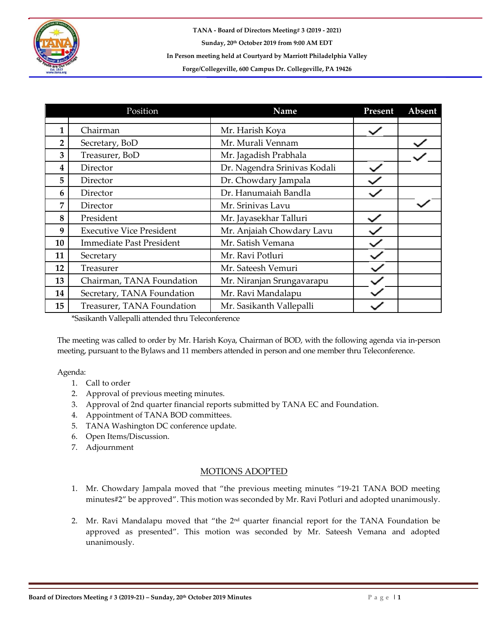

**Forge/Collegeville, 600 Campus Dr. Collegeville, PA 19426**

|                | Position                        | <b>Name</b>                  | Present | Absent |
|----------------|---------------------------------|------------------------------|---------|--------|
|                |                                 |                              |         |        |
| 1              | Chairman                        | Mr. Harish Koya              |         |        |
| $\overline{2}$ | Secretary, BoD                  | Mr. Murali Vennam            |         |        |
| 3              | Treasurer, BoD                  | Mr. Jagadish Prabhala        |         |        |
| 4              | Director                        | Dr. Nagendra Srinivas Kodali |         |        |
| 5              | Director                        | Dr. Chowdary Jampala         |         |        |
| 6              | Director                        | Dr. Hanumaiah Bandla         |         |        |
| 7              | Director                        | Mr. Srinivas Lavu            |         |        |
| 8              | President                       | Mr. Jayasekhar Talluri       |         |        |
| 9              | <b>Executive Vice President</b> | Mr. Anjaiah Chowdary Lavu    |         |        |
| 10             | <b>Immediate Past President</b> | Mr. Satish Vemana            |         |        |
| 11             | Secretary                       | Mr. Ravi Potluri             |         |        |
| 12             | Treasurer                       | Mr. Sateesh Vemuri           |         |        |
| 13             | Chairman, TANA Foundation       | Mr. Niranjan Srungavarapu    |         |        |
| 14             | Secretary, TANA Foundation      | Mr. Ravi Mandalapu           |         |        |
| 15             | Treasurer, TANA Foundation      | Mr. Sasikanth Vallepalli     |         |        |

\*Sasikanth Vallepalli attended thru Teleconference

The meeting was called to order by Mr. Harish Koya, Chairman of BOD, with the following agenda via in-person meeting, pursuant to the Bylaws and 11 members attended in person and one member thru Teleconference.

## Agenda:

- 1. Call to order
- 2. Approval of previous meeting minutes.
- 3. Approval of 2nd quarter financial reports submitted by TANA EC and Foundation.
- 4. Appointment of TANA BOD committees.
- 5. TANA Washington DC conference update.
- 6. Open Items/Discussion.
- 7. Adjournment

## MOTIONS ADOPTED

- 1. Mr. Chowdary Jampala moved that "the previous meeting minutes "19-21 TANA BOD meeting minutes#2" be approved". This motion was seconded by Mr. Ravi Potluri and adopted unanimously.
- 2. Mr. Ravi Mandalapu moved that "the  $2<sup>nd</sup>$  quarter financial report for the TANA Foundation be approved as presented". This motion was seconded by Mr. Sateesh Vemana and adopted unanimously.